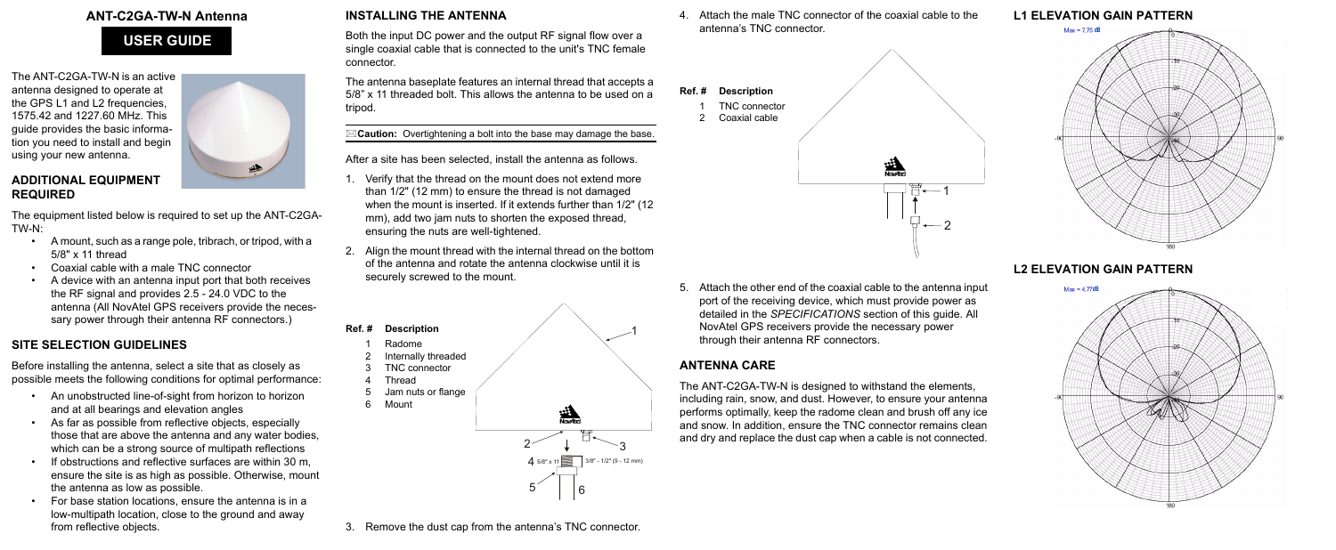# **ANT-C2GA-TW-N Antenna**

The ANT-C2GA-TW-N is an active antenna designed to operate at the GPS L1 and L2 frequencies, 1575.42 and 1227.60 MHz. This guide provides the basic information you need to install and begin using your new antenna.

# 

## **ADDITIONAL EQUIPMENT REQUIRED**

The equipment listed below is required to set up the ANT-C2GA-TW-N:

- A mount, such as a range pole, tribrach, or tripod, with a 5/8" x 11 thread
- Coaxial cable with a male TNC connector
- A device with an antenna input port that both receives the RF signal and provides 2.5 - 24.0 VDC to the antenna (All NovAtel GPS receivers provide the necessary power through their antenna RF connectors.)

# **SITE SELECTION GUIDELINES**

Before installing the antenna, select a site that as closely as possible meets the following conditions for optimal performance:

- An unobstructed line-of-sight from horizon to horizon and at all bearings and elevation angles
- As far as possible from reflective objects, especially those that are above the antenna and any water bodies, which can be a strong source of multipath reflections
- If obstructions and reflective surfaces are within 30 m, ensure the site is as high as possible. Otherwise, mount the antenna as low as possible.
- For base station locations, ensure the antenna is in a low-multipath location, close to the ground and away from reflective objects.

# **INSTALLING THE ANTENNA**

Both the input DC power and the output RF signal flow over a single coaxial cable that is connected to the unit's TNC female connector.

The antenna baseplate features an internal thread that accepts a 5/8" x 11 threaded bolt. This allows the antenna to be used on a tripod.

**Caution:** Overtightening a bolt into the base may damage the base.

After a site has been selected, install the antenna as follows.

- 1. Verify that the thread on the mount does not extend more than 1/2" (12 mm) to ensure the thread is not damaged when the mount is inserted. If it extends further than 1/2" (12 mm), add two jam nuts to shorten the exposed thread, ensuring the nuts are well-tightened.
- 2. Align the mount thread with the internal thread on the bottom of the antenna and rotate the antenna clockwise until it is securely screwed to the mount.

3. Remove the dust cap from the antenna's TNC connector.

4. Attach the male TNC connector of the coaxial cable to the antenna's TNC connector.

5. Attach the other end of the coaxial cable to the antenna input port of the receiving device, which must provide power as detailed in the *SPECIFICATIONS* section of this guide. All NovAtel GPS receivers provide the necessary power through their antenna RF connectors.



# **ANTENNA CARE**



The ANT-C2GA-TW-N is designed to withstand the elements, including rain, snow, and dust. However, to ensure your antenna performs optimally, keep the radome clean and brush off any ice and snow. In addition, ensure the TNC connector remains clean and dry and replace the dust cap when a cable is not connected.



**L2 ELEVATION GAIN PATTERN**